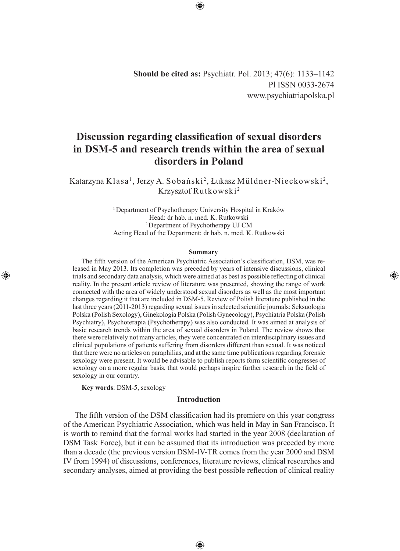**Should be cited as:** Psychiatr. Pol. 2013; 47(6): 1133–1142 Pl ISSN 0033-2674 www.psychiatriapolska.pl

# **Discussion regarding classification of sexual disorders in DSM-5 and research trends within the area of sexual disorders in Poland**

Katarzyna Klasa<sup>1</sup>, Jerzy A. Sobański<sup>2</sup>, Łukasz Müldner-Nieckowski<sup>2</sup>, Krzysztof Rutkowski <sup>2</sup>

> 1 Department of Psychotherapy University Hospital in Kraków Head: dr hab. n. med. K. Rutkowski <sup>2</sup>Department of Psychotherapy UJ CM Acting Head of the Department: dr hab. n. med. K. Rutkowski

#### **Summary**

◈

The fifth version of the American Psychiatric Association's classification, DSM, was released in May 2013. Its completion was preceded by years of intensive discussions, clinical trials and secondary data analysis, which were aimed at as best as possible reflecting of clinical reality. In the present article review of literature was presented, showing the range of work connected with the area of widely understood sexual disorders as well as the most important changes regarding it that are included in DSM-5. Review of Polish literature published in the last three years (2011-2013) regarding sexual issues in selected scientific journals: Seksuologia Polska (Polish Sexology), Ginekologia Polska (Polish Gynecology), Psychiatria Polska (Polish Psychiatry), Psychoterapia (Psychotherapy) was also conducted. It was aimed at analysis of basic research trends within the area of sexual disorders in Poland. The review shows that there were relatively not many articles, they were concentrated on interdisciplinary issues and clinical populations of patients suffering from disorders different than sexual. It was noticed that there were no articles on paraphilias, and at the same time publications regarding forensic sexology were present. It would be advisable to publish reports form scientific congresses of sexology on a more regular basis, that would perhaps inspire further research in the field of sexology in our country.

**Key words**: DSM-5, sexology

◈

## **Introduction**

The fifth version of the DSM classification had its premiere on this year congress of the American Psychiatric Association, which was held in May in San Francisco. It is worth to remind that the formal works had started in the year 2008 (declaration of DSM Task Force), but it can be assumed that its introduction was preceded by more than a decade (the previous version DSM-IV-TR comes from the year 2000 and DSM IV from 1994) of discussions, conferences, literature reviews, clinical researches and secondary analyses, aimed at providing the best possible reflection of clinical reality

⊕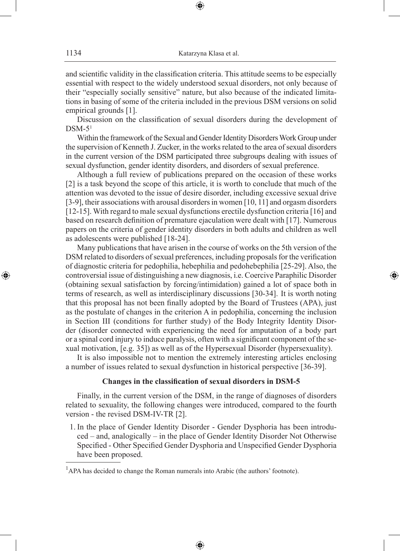and scientific validity in the classification criteria. This attitude seems to be especially essential with respect to the widely understood sexual disorders, not only because of their "especially socially sensitive" nature, but also because of the indicated limitations in basing of some of the criteria included in the previous DSM versions on solid empirical grounds [1].

Discussion on the classification of sexual disorders during the development of  $DSM-5<sup>1</sup>$ 

Within the framework of the Sexual and Gender Identity Disorders Work Group under the supervision of Kenneth J. Zucker, in the works related to the area of sexual disorders in the current version of the DSM participated three subgroups dealing with issues of sexual dysfunction, gender identity disorders, and disorders of sexual preference.

Although a full review of publications prepared on the occasion of these works [2] is a task beyond the scope of this article, it is worth to conclude that much of the attention was devoted to the issue of desire disorder, including excessive sexual drive [3-9], their associations with arousal disorders in women [10, 11] and orgasm disorders [12-15]. With regard to male sexual dysfunctions erectile dysfunction criteria [16] and based on research definition of premature ejaculation were dealt with [17]. Numerous papers on the criteria of gender identity disorders in both adults and children as well as adolescents were published [18-24].

Many publications that have arisen in the course of works on the 5th version of the DSM related to disorders of sexual preferences, including proposals for the verification of diagnostic criteria for pedophilia, hebephilia and pedohebephilia [25-29]. Also, the controversial issue of distinguishing a new diagnosis, i.e. Coercive Paraphilic Disorder (obtaining sexual satisfaction by forcing/intimidation) gained a lot of space both in terms of research, as well as interdisciplinary discussions [30-34]. It is worth noting that this proposal has not been finally adopted by the Board of Trustees (APA), just as the postulate of changes in the criterion A in pedophilia, concerning the inclusion in Section III (conditions for further study) of the Body Integrity Identity Disorder (disorder connected with experiencing the need for amputation of a body part or a spinal cord injury to induce paralysis, often with a significant component of the sexual motivation, [e.g. 35]) as well as of the Hypersexual Disorder (hypersexuality).

◈

It is also impossible not to mention the extremely interesting articles enclosing a number of issues related to sexual dysfunction in historical perspective [36-39].

# **Changes in the classification of sexual disorders in DSM-5**

Finally, in the current version of the DSM, in the range of diagnoses of disorders related to sexuality, the following changes were introduced, compared to the fourth version - the revised DSM-IV-TR [2].

 1. In the place of Gender Identity Disorder - Gender Dysphoria has been introduced – and, analogically – in the place of Gender Identity Disorder Not Otherwise Specified - Other Specified Gender Dysphoria and Unspecified Gender Dysphoria have been proposed.

⊕

<sup>&</sup>lt;sup>1</sup>APA has decided to change the Roman numerals into Arabic (the authors' footnote).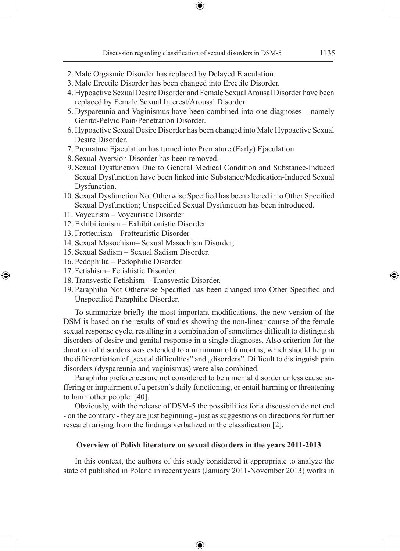- 2. Male Orgasmic Disorder has replaced by Delayed Ejaculation.
- 3. Male Erectile Disorder has been changed into Erectile Disorder.
- 4. Hypoactive Sexual Desire Disorder and Female Sexual Arousal Disorder have been replaced by Female Sexual Interest/Arousal Disorder
- 5. Dyspareunia and Vaginismus have been combined into one diagnoses namely Genito-Pelvic Pain/Penetration Disorder.
- 6. Hypoactive Sexual Desire Disorder has been changed into Male Hypoactive Sexual Desire Disorder.
- 7. Premature Ejaculation has turned into Premature (Early) Ejaculation
- 8. Sexual Aversion Disorder has been removed.
- 9. Sexual Dysfunction Due to General Medical Condition and Substance-Induced Sexual Dysfunction have been linked into Substance/Medication-Induced Sexual Dysfunction.
- 10. Sexual Dysfunction Not Otherwise Specified has been altered into Other Specified Sexual Dysfunction; Unspecified Sexual Dysfunction has been introduced.
- 11. Voyeurism Voyeuristic Disorder
- 12. Exhibitionism Exhibitionistic Disorder
- 13. Frotteurism Frotteuristic Disorder
- 14. Sexual Masochism– Sexual Masochism Disorder,
- 15. Sexual Sadism Sexual Sadism Disorder.
- 16. Pedophilia Pedophilic Disorder.
- 17. Fetishism– Fetishistic Disorder.

⊕

- 18. Transvestic Fetishism Transvestic Disorder.
- 19. Paraphilia Not Otherwise Specified has been changed into Other Specified and Unspecified Paraphilic Disorder.

To summarize briefly the most important modifications, the new version of the DSM is based on the results of studies showing the non-linear course of the female sexual response cycle, resulting in a combination of sometimes difficult to distinguish disorders of desire and genital response in a single diagnoses. Also criterion for the duration of disorders was extended to a minimum of 6 months, which should help in the differentiation of "sexual difficulties" and "disorders". Difficult to distinguish pain disorders (dyspareunia and vaginismus) were also combined.

Paraphilia preferences are not considered to be a mental disorder unless cause suffering or impairment of a person's daily functioning, or entail harming or threatening to harm other people. [40].

Obviously, with the release of DSM-5 the possibilities for a discussion do not end - on the contrary - they are just beginning - just as suggestions on directions for further research arising from the findings verbalized in the classification [2].

# **Overview of Polish literature on sexual disorders in the years 2011-2013**

In this context, the authors of this study considered it appropriate to analyze the state of published in Poland in recent years (January 2011-November 2013) works in

⊕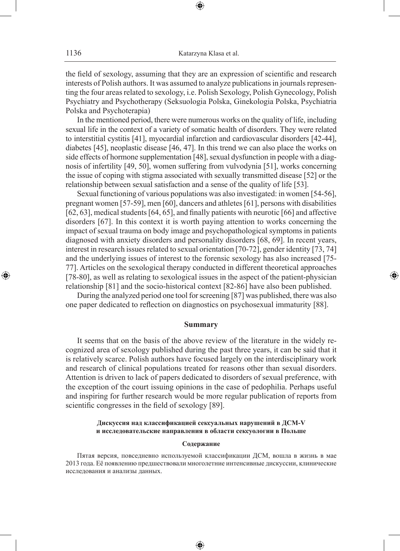the field of sexology, assuming that they are an expression of scientific and research interests of Polish authors. It was assumed to analyze publications in journals representing the four areas related to sexology, i.e. Polish Sexology, Polish Gynecology, Polish Psychiatry and Psychotherapy (Seksuologia Polska, Ginekologia Polska, Psychiatria Polska and Psychoterapia)

In the mentioned period, there were numerous works on the quality of life, including sexual life in the context of a variety of somatic health of disorders. They were related to interstitial cystitis [41], myocardial infarction and cardiovascular disorders [42-44], diabetes [45], neoplastic disease [46, 47]. In this trend we can also place the works on side effects of hormone supplementation [48], sexual dysfunction in people with a diagnosis of infertility [49, 50], women suffering from vulvodynia [51], works concerning the issue of coping with stigma associated with sexually transmitted disease [52] or the relationship between sexual satisfaction and a sense of the quality of life [53].

Sexual functioning of various populations was also investigated: in women [54-56], pregnant women [57-59], men [60], dancers and athletes [61], persons with disabilities [62, 63], medical students [64, 65], and finally patients with neurotic [66] and affective disorders [67]. In this context it is worth paying attention to works concerning the impact of sexual trauma on body image and psychopathological symptoms in patients diagnosed with anxiety disorders and personality disorders [68, 69]. In recent years, interest in research issues related to sexual orientation [70-72], gender identity [73, 74] and the underlying issues of interest to the forensic sexology has also increased [75- 77]. Articles on the sexological therapy conducted in different theoretical approaches [78-80], as well as relating to sexological issues in the aspect of the patient-physician relationship [81] and the socio-historical context [82-86] have also been published.

During the analyzed period one tool for screening [87] was published, there was also one paper dedicated to reflection on diagnostics on psychosexual immaturity [88].

◈

## **Summary**

It seems that on the basis of the above review of the literature in the widely recognized area of sexology published during the past three years, it can be said that it is relatively scarce. Polish authors have focused largely on the interdisciplinary work and research of clinical populations treated for reasons other than sexual disorders. Attention is driven to lack of papers dedicated to disorders of sexual preference, with the exception of the court issuing opinions in the case of pedophilia. Perhaps useful and inspiring for further research would be more regular publication of reports from scientific congresses in the field of sexology [89].

## **Дискуссия над классификацией сексуальных нарушений в ДСМ-V и исследовательские направления в области сексуологии в Польше**

#### **Содержание**

Пятая версия, повседневно используемой классификации ДСМ, вошла в жизнь в мае 2013 года. Её появлению предшествовали многолетние интенсивные дискуссии, клинические исследования и анализы данных.

⊕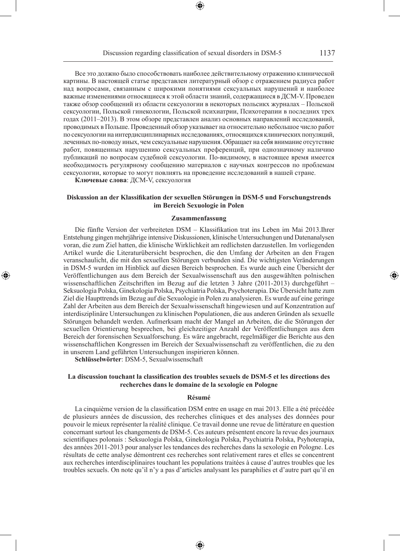Все это должно было способствовать наиболее действительному отражению клинической картины. В настоящей статье представлен литературный обзор с отражением радиуса работ над вопросами, связанным с широкими понятиями сексуальных нарушений и наиболее важные изменениями относящиеся к этой области знаний, содержащиеся в ДСМ-V. Проведен также обзор сообщений из области сексуологии в некоторых польсикх журналах – Польской сексуологии, Польской гинекологии, Польской психиатрии, Психотерапии в последних трех годах (2011–2013). В этом обзоре представлен анализ основных направлений исследований, проводимых в Польше. Проведенный обзор указывает на относительно небольшое число работ по сексуологии на интердисциплинарных исследованиях, относящихся клинических популяций, леченных по-поводу иных, чем сексуальные нарушения. Обращает на себя внимание отсутствие работ, повященных нарушению сексуальных преференций, при однозначному наличию публикаций по вопросам судебной сексуологии. По-видимому, в настоящее время имеется необходимость регулярному сообщению материалов с научных конгрессов по проблемам сексуологии, которые то могут повлиять на проведение исследований в нашей стране.

**Ключевые слова**: ДСМ-V, сексуология

◈

#### **Diskussion an der Klassifikation der sexuellen Störungen in DSM-5 und Forschungstrends im Bereich Sexuologie in Polen**

#### **Zusammenfassung**

Die fünfte Version der verbreiteten DSM – Klassifikation trat ins Leben im Mai 2013.Ihrer Entstehung gingen mehrjährige intensive Diskussionen, klinische Untersuchungen und Datenanalysen voran, die zum Ziel hatten, die klinische Wirklichkeit am redlichsten darzustellen. Im vorliegenden Artikel wurde die Literaturübersicht besprochen, die den Umfang der Arbeiten an den Fragen veranschaulicht, die mit den sexuellen Störungen verbunden sind. Die wichtigsten Veränderungen in DSM-5 wurden im Hinblick auf diesen Bereich besprochen. Es wurde auch eine Übersicht der Veröffentlichungen aus dem Bereich der Sexualwissenschaft aus den ausgewählten polnischen wissenschaftlichen Zeitschriften im Bezug auf die letzten 3 Jahre (2011-2013) durchgeführt – Seksuologia Polska, Ginekologia Polska, Psychiatria Polska, Psychoterapia. Die Übersicht hatte zum Ziel die Haupttrends im Bezug auf die Sexuologie in Polen zu analysieren. Es wurde auf eine geringe Zahl der Arbeiten aus dem Bereich der Sexualwissenschaft hingewiesen und auf Konzentration auf interdisziplinäre Untersuchungen zu klinischen Populationen, die aus anderen Gründen als sexuelle Störungen behandelt werden. Aufmerksam macht der Mangel an Arbeiten, die die Störungen der sexuellen Orientierung besprechen, bei gleichzeitiger Anzahl der Veröffentlichungen aus dem Bereich der forensischen Sexualforschung. Es wäre angebracht, regelmäßiger die Berichte aus den wissenschaftlichen Kongressen im Bereich der Sexualwissenschaft zu veröffentlichen, die zu den in unserem Land geführten Untersuchungen inspirieren können.

**Schlüsselwörter**: DSM-5, Sexualwissenschaft

## **La discussion touchant la classification des troubles sexuels de DSM-5 et les directions des recherches dans le domaine de la sexologie en Pologne**

#### **Résumé**

La cinquième version de la classification DSM entre en usage en mai 2013. Elle a été précédée de plusieurs années de discussion, des recherches cliniques et des analyses des données pour pouvoir le mieux représenter la réalité clinique. Ce travail donne une revue de littérature en question concernant surtout les changements de DSM-5. Ces auteurs présentent encore la revue des journaux scientifiques polonais : Seksuologia Polska, Ginekologia Polska, Psychiatria Polska, Psyhoterapia, des années 2011-2013 pour analyser les tendances des recherches dans la sexologie en Pologne. Les résultats de cette analyse démontrent ces recherches sont relativement rares et elles se concentrent aux recherches interdisciplinaires touchant les populations traitées à cause d'autres troubles que les troubles sexuels. On note qu'il n'y a pas d'articles analysant les paraphilies et d'autre part qu'il en

♠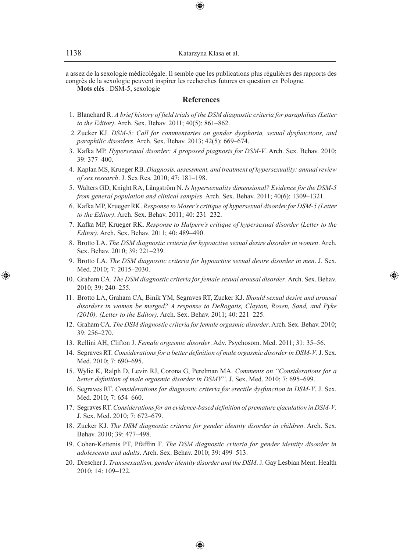a assez de la sexologie médicolégale. Il semble que les publications plus régulières des rapports des congrès de la sexologie peuvent inspirer les recherches futures en question en Pologne.

⊕

**Mots clés** : DSM-5, sexologie

## **References**

- 1. Blanchard R. *A brief history of field trials of the DSM diagnostic criteria for paraphilias (Letter to the Editor)*. Arch. Sex. Behav. 2011; 40(5): 861–862.
- 2. Zucker KJ. *DSM-5: Call for commentaries on gender dysphoria, sexual dysfunctions, and paraphilic disorders*. Arch. Sex. Behav. 2013; 42(5): 669–674.
- 3. Kafka MP. *Hypersexual disorder: A proposed piagnosis for DSM-V*. Arch. Sex. Behav. 2010; 39: 377–400.
- 4. Kaplan MS, Krueger RB. *Diagnosis, assessment, and treatment of hypersexuality: annual review of sex research*. J. Sex Res. 2010; 47: 181–198.
- 5. Walters GD, Knight RA, Långström N. *Is hypersexuality dimensional? Evidence for the DSM-5 from general population and clinical samples*. Arch. Sex. Behav. 2011; 40(6): 1309–1321.
- 6. Kafka MP, Krueger RK. *Response to Moser's critique of hypersexual disorder for DSM-5 (Letter to the Editor)*. Arch. Sex. Behav. 2011; 40: 231–232.
- 7. Kafka MP, Krueger RK. *Response to Halpern's critique of hypersexual disorder (Letter to the Editor)*. Arch. Sex. Behav. 2011; 40: 489–490.
- 8. Brotto LA. *The DSM diagnostic criteria for hypoactive sexual desire disorder in women*. Arch. Sex. Behav. 2010; 39: 221–239.
- 9. Brotto LA. *The DSM diagnostic criteria for hypoactive sexual desire disorder in men*. J. Sex. Med. 2010; 7: 2015–2030.

◈

- 10. Graham CA. *The DSM diagnostic criteria for female sexual arousal disorder*. Arch. Sex. Behav. 2010; 39: 240–255.
- 11. Brotto LA, Graham CA, Binik YM, Segraves RT, Zucker KJ. *Should sexual desire and arousal disorders in women be merged? A response to DeRogatis, Clayton, Rosen, Sand, and Pyke (2010); (Letter to the Editor)*. Arch. Sex. Behav. 2011; 40: 221–225.
- 12. Graham CA. *The DSM diagnostic criteria for female orgasmic disorder*. Arch. Sex. Behav. 2010; 39: 256–270.
- 13. Rellini AH, Clifton J. *Female orgasmic disorder*. Adv. Psychosom. Med. 2011; 31: 35–56.
- 14. Segraves RT. *Considerations for a better definition of male orgasmic disorder in DSM-V*. J. Sex. Med. 2010; 7: 690–695.
- 15. Wylie K, Ralph D, Levin RJ, Corona G, Perelman MA. *Comments on "Considerations for a better definition of male orgasmic disorder in DSMV"*. J. Sex. Med. 2010; 7: 695–699.
- 16. Segraves RT. *Considerations for diagnostic criteria for erectile dysfunction in DSM-V*. J. Sex. Med. 2010; 7: 654–660.
- 17. Segraves RT. *Considerations for an evidence-based definition of premature ejaculation in DSM-V*. J. Sex. Med. 2010; 7: 672–679.
- 18. Zucker KJ. *The DSM diagnostic criteria for gender identity disorder in children*. Arch. Sex. Behav. 2010; 39: 477–498.
- 19. Cohen-Kettenis PT, Pfäfflin F. *The DSM diagnostic criteria for gender identity disorder in adolescents and adults*. Arch. Sex. Behav. 2010; 39: 499–513.
- 20. Drescher J. *Transsexualism, gender identity disorder and the DSM*. J. Gay Lesbian Ment. Health 2010; 14: 109–122.

⊕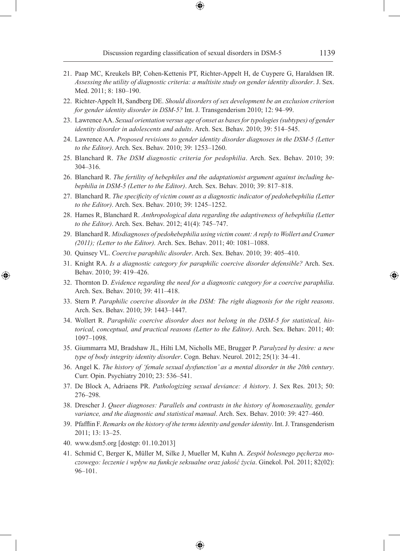- 21. Paap MC, Kreukels BP, Cohen-Kettenis PT, Richter-Appelt H, de Cuypere G, Haraldsen IR. *Assessing the utility of diagnostic criteria: a multisite study on gender identity disorder*. J. Sex. Med. 2011; 8: 180–190.
- 22. Richter-Appelt H, Sandberg DE. *Should disorders of sex development be an exclusion criterion for gender identity disorder in DSM-5?* Int. J. Transgenderism 2010; 12: 94–99.
- 23. Lawrence AA. *Sexual orientation versus age of onset as bases for typologies (subtypes) of gender identity disorder in adolescents and adults*. Arch. Sex. Behav. 2010; 39: 514–545.
- 24. Lawrence AA. *Proposed revisions to gender identity disorder diagnoses in the DSM-5 (Letter to the Editor)*. Arch. Sex. Behav. 2010; 39: 1253–1260.
- 25. Blanchard R. *The DSM diagnostic criteria for pedophilia*. Arch. Sex. Behav. 2010; 39: 304–316.
- 26. Blanchard R. *The fertility of hebephiles and the adaptationist argument against including hebephilia in DSM-5 (Letter to the Editor)*. Arch. Sex. Behav. 2010; 39: 817–818.
- 27. Blanchard R. *The specificity of victim count as a diagnostic indicator of pedohebephilia (Letter to the Editor)*. Arch. Sex. Behav. 2010; 39: 1245–1252.
- 28. Hames R, Blanchard R. *Anthropological data regarding the adaptiveness of hebephilia (Letter to the Editor)*. Arch. Sex. Behav. 2012; 41(4): 745–747.
- 29. Blanchard R. *Misdiagnoses of pedohebephilia using victim count: A reply to Wollert and Cramer (2011); (Letter to the Editor).* Arch. Sex. Behav. 2011; 40: 1081–1088.
- 30. Quinsey VL. *Coercive paraphilic disorder*. Arch. Sex. Behav. 2010; 39: 405–410.
- 31. Knight RA. *Is a diagnostic category for paraphilic coercive disorder defensible?* Arch. Sex. Behav. 2010; 39: 419–426.
- 32. Thornton D. *Evidence regarding the need for a diagnostic category for a coercive paraphilia*. Arch. Sex. Behav. 2010; 39: 411–418.
- 33. Stern P. *Paraphilic coercive disorder in the DSM: The right diagnosis for the right reasons*. Arch. Sex. Behav. 2010; 39: 1443–1447.
- 34. Wollert R. *Paraphilic coercive disorder does not belong in the DSM-5 for statistical, historical, conceptual, and practical reasons (Letter to the Editor)*. Arch. Sex. Behav. 2011; 40: 1097–1098.
- 35. Giummarra MJ, Bradshaw JL, Hilti LM, Nicholls ME, Brugger P. *Paralyzed by desire: a new type of body integrity identity disorder*. Cogn. Behav. Neurol. 2012; 25(1): 34–41.
- 36. Angel K. *The history of 'female sexual dysfunction' as a mental disorder in the 20th century*. Curr. Opin. Psychiatry 2010; 23: 536–541.
- 37. De Block A, Adriaens PR. *Pathologizing sexual deviance: A history*. J. Sex Res. 2013; 50: 276–298.
- 38. Drescher J. *Queer diagnoses: Parallels and contrasts in the history of homosexuality, gender variance, and the diagnostic and statistical manual*. Arch. Sex. Behav. 2010: 39: 427–460.
- 39. Pfafflin F. *Remarks on the history of the terms identity and gender identity*. Int. J. Transgenderism 2011; 13: 13–25.
- 40. www.dsm5.org [dostęp: 01.10.2013]

◈

41. Schmid C, Berger K, Müller M, Silke J, Mueller M, Kuhn A. *Zespół bolesnego pęcherza moczowego: leczenie i wpływ na funkcje seksualne oraz jakość życia*. Ginekol. Pol. 2011; 82(02): 96–101.

⊕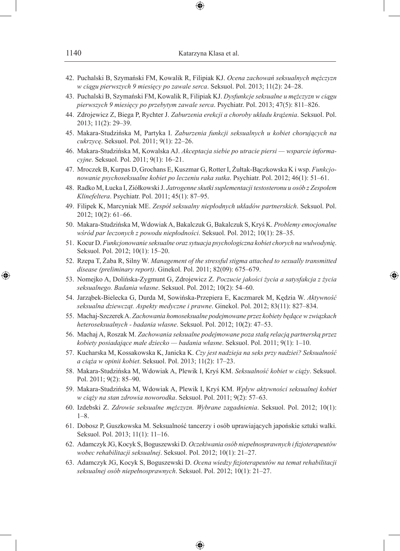42. Puchalski B, Szymański FM, Kowalik R, Filipiak KJ. *Ocena zachowań seksualnych mężczyzn w ciągu pierwszych 9 miesięcy po zawale serca*. Seksuol. Pol. 2013; 11(2): 24–28.

⊕

- 43. Puchalski B, Szymański FM, Kowalik R, Filipiak KJ. *Dysfunkcje seksualne u mężczyzn w ciągu pierwszych 9 miesięcy po przebytym zawale serca*. Psychiatr. Pol. 2013; 47(5): 811–826.
- 44. Zdrojewicz Z, Biega P, Rychter J. *Zaburzenia erekcji a choroby układu krążenia*. Seksuol. Pol. 2013; 11(2): 29–39.
- 45. Makara-Studzińska M, Partyka I. *Zaburzenia funkcji seksualnych u kobiet chorujących na cukrzycę*. Seksuol. Pol. 2011; 9(1): 22–26.
- 46. Makara-Studzińska M, Kowalska AJ. *Akceptacja siebie po utracie piersi wsparcie informacyjne*. Seksuol. Pol. 2011; 9(1): 16–21.
- 47. Mroczek B, Kurpas D, Grochans E, Kuszmar G, Rotter I, Żułtak-Bączkowska K i wsp. *Funkcjonowanie psychoseksualne kobiet po leczeniu raka sutka*. Psychiatr. Pol. 2012; 46(1): 51–61.
- 48. Radko M, Łucka I, Ziółkowski J. *Jatrogenne skutki suplementacji testosteronu u osób z Zespołem Klinefeltera*. Psychiatr. Pol. 2011; 45(1): 87–95.
- 49. Filipek K, Marcyniak ME. *Zespół seksualny niepłodnych układów partnerskich*. Seksuol. Pol. 2012; 10(2): 61–66.
- 50. Makara-Studzińska M, Wdowiak A, Bakalczuk G, Bakalczuk S, Kryś K. *Problemy emocjonalne wśród par leczonych z powodu niepłodności*. Seksuol. Pol. 2012; 10(1): 28–35.
- 51. Kocur D. *Funkcjonowanie seksualne oraz sytuacja psychologiczna kobiet chorych na wulwodynię*. Seksuol. Pol. 2012; 10(1): 15–20.
- 52. Rzepa T, Żaba R, Silny W. *Management of the stressful stigma attached to sexually transmitted disease (preliminary report)*. Ginekol. Pol. 2011; 82(09): 675–679.
- 53. Nomejko A, Dolińska-Zygmunt G, Zdrojewicz Z. *Poczucie jakości życia a satysfakcja z życia seksualnego. Badania własne*. Seksuol. Pol. 2012; 10(2): 54–60.

◈

- 54. Jarząbek-Bielecka G, Durda M, Sowińska-Przepiera E, Kaczmarek M, Kędzia W. *Aktywność seksualna dziewcząt. Aspekty medyczne i prawne*. Ginekol. Pol. 2012; 83(11): 827–834.
- 55. Machaj-Szczerek A. *Zachowania homoseksualne podejmowane przez kobiety będące w związkach heteroseksualnych - badania własne*. Seksuol. Pol. 2012; 10(2): 47–53.
- 56. Machaj A, Roszak M. *Zachowania seksualne podejmowane poza stałą relacją partnerską przez kobiety posiadające małe dziecko — badania własne*. Seksuol. Pol. 2011; 9(1): 1–10.
- 57. Kucharska M, Kossakowska K, Janicka K. *Czy jest nadzieja na seks przy nadziei? Seksualność a ciąża w opinii kobiet*. Seksuol. Pol. 2013; 11(2): 17–23.
- 58. Makara-Studzińska M, Wdowiak A, Plewik I, Kryś KM. *Seksualność kobiet w ciąży*. Seksuol. Pol. 2011; 9(2): 85–90.
- 59. Makara-Studzińska M, Wdowiak A, Plewik I, Kryś KM. *Wpływ aktywności seksualnej kobiet w ciąży na stan zdrowia noworodka*. Seksuol. Pol. 2011; 9(2): 57–63.
- 60. Izdebski Z. *Zdrowie seksualne mężczyzn. Wybrane zagadnienia*. Seksuol. Pol. 2012; 10(1): 1–8.
- 61. Dobosz P, Guszkowska M. Seksualność tancerzy i osób uprawiających japońskie sztuki walki. Seksuol. Pol. 2013; 11(1): 11–16.
- 62. Adamczyk JG, Kocyk S, Boguszewski D. *Oczekiwania osób niepełnosprawnych i fizjoterapeutów wobec rehabilitacji seksualnej*. Seksuol. Pol. 2012; 10(1): 21–27.
- 63. Adamczyk JG, Kocyk S, Boguszewski D. *Ocena wiedzy fizjoterapeutów na temat rehabilitacji seksualnej osób niepełnosprawnych*. Seksuol. Pol. 2012; 10(1): 21–27.

⊕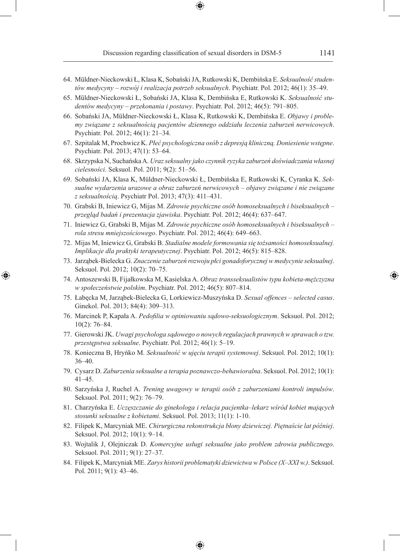- 64. Müldner-Nieckowski Ł, Klasa K, Sobański JA, Rutkowski K, Dembińska E. *Seksualność studentów medycyny – rozwój i realizacja potrzeb seksualnych*. Psychiatr. Pol. 2012; 46(1): 35–49.
- 65. Müldner-Nieckowski Ł, Sobański JA, Klasa K, Dembińska E, Rutkowski K. *Seksualność studentów medycyny – przekonania i postawy*. Psychiatr. Pol. 2012; 46(5): 791–805.
- 66. Sobański JA, Müldner-Nieckowski Ł, Klasa K, Rutkowski K, Dembińska E. *Objawy i problemy związane z seksualnością pacjentów dziennego oddziału leczenia zaburzeń nerwicowych*. Psychiatr. Pol. 2012; 46(1): 21–34.
- 67. Szpitalak M, Prochwicz K. *Płeć psychologiczna osób z depresją kliniczną. Doniesienie wstępne*. Psychiatr. Pol. 2013; 47(1): 53–64.
- 68. Skrzypska N, Suchańska A. *Uraz seksualny jako czynnik ryzyka zaburzeń doświadczania własnej cielesności*. Seksuol. Pol. 2011; 9(2): 51–56.
- 69. Sobański JA, Klasa K, Müldner-Nieckowski Ł, Dembińska E, Rutkowski K, Cyranka K. *Seksualne wydarzenia urazowe a obraz zaburzeń nerwicowych – objawy związane i nie związane z seksualnością*. Psychiatr Pol. 2013; 47(3): 411–431.
- 70. Grabski B, Iniewicz G, Mijas M. *Zdrowie psychiczne osób homoseksualnych i biseksualnych przegląd badań i prezentacja zjawiska*. Psychiatr. Pol. 2012; 46(4): 637–647.
- 71. Iniewicz G, Grabski B, Mijas M. *Zdrowie psychiczne osób homoseksualnych i biseksualnych rola stresu mniejszościowego*. Psychiatr. Pol. 2012; 46(4): 649–663.
- 72. Mijas M, Iniewicz G, Grabski B. *Stadialne modele formowania się tożsamości homoseksualnej. Implikacje dla praktyki terapeutycznej*. Psychiatr. Pol. 2012; 46(5): 815–828.
- 73. Jarząbek-Bielecka G. *Znaczenie zaburzeń rozwoju płci gonadoforycznej w medycynie seksualnej*. Seksuol. Pol. 2012; 10(2): 70–75.

- 74. Antoszewski B, Fijałkowska M, Kasielska A. *Obraz transseksualistów typu kobieta-mężczyzna w społeczeństwie polskim*. Psychiatr. Pol. 2012; 46(5): 807–814.
- 75. Łabęcka M, Jarząbek-Bielecka G, Lorkiewicz-Muszyńska D. *Sexual offences selected casus*. Ginekol. Pol. 2013; 84(4): 309–313.
- 76. Marcinek P, Kapała A. *Pedofilia w opiniowaniu sądowo-seksuologicznym*. Seksuol. Pol. 2012; 10(2): 76–84.
- 77. Gierowski JK. *Uwagi psychologa sądowego o nowych regulacjach prawnych w sprawach o tzw. przestępstwa seksualne*. Psychiatr. Pol. 2012; 46(1): 5–19.
- 78. Konieczna B, Hryńko M. *Seksualność w ujęciu terapii systemowej*. Seksuol. Pol. 2012; 10(1): 36–40.
- 79. Cysarz D. *Zaburzenia seksualne a terapia poznawczo-behawioralna*. Seksuol. Pol. 2012; 10(1): 41–45.
- 80. Sarzyńska J, Ruchel A. *Trening uwagowy w terapii osób z zaburzeniami kontroli impulsów*. Seksuol. Pol. 2011; 9(2): 76–79.
- 81. Charzyńska E. *Uczęszczanie do ginekologa i relacja pacjentka–lekarz wśród kobiet mających stosunki seksualne z kobietami*. Seksuol. Pol. 2013; 11(1): 1-10.
- 82. Filipek K, Marcyniak ME. *Chirurgiczna rekonstrukcja błony dziewiczej. Piętnaście lat później*. Seksuol. Pol. 2012; 10(1): 9–14.
- 83. Wojtalik J, Olejniczak D. *Komercyjne usługi seksualne jako problem zdrowia publicznego*. Seksuol. Pol. 2011; 9(1): 27–37.
- 84. Filipek K, Marcyniak ME. *Zarys historii problematyki dziewictwa w Polsce (X–XXI w.)*. Seksuol. Pol. 2011; 9(1): 43–46.

⊕